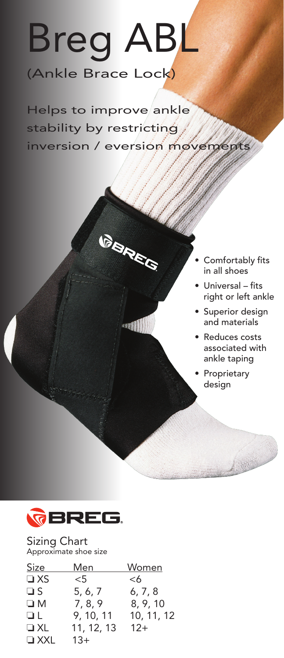## Breg ABL (Ankle Brace Lock)

Helps to improve ankle stability by restricting inversion / eversion movements

**GARES** 

- Comfortably fits in all shoes
- • Universal fits right or left ankle
- • Superior design and materials
- Reduces costs associated with ankle taping

• Proprietary design



Sizing Chart Approximate shoe size

| Men        | Women      |
|------------|------------|
| $<$ 5      | <6         |
| 5, 6, 7    | 6, 7, 8    |
| 7, 8, 9    | 8, 9, 10   |
| 9, 10, 11  | 10, 11, 12 |
| 11, 12, 13 | $12+$      |
| $13+$      |            |
|            |            |